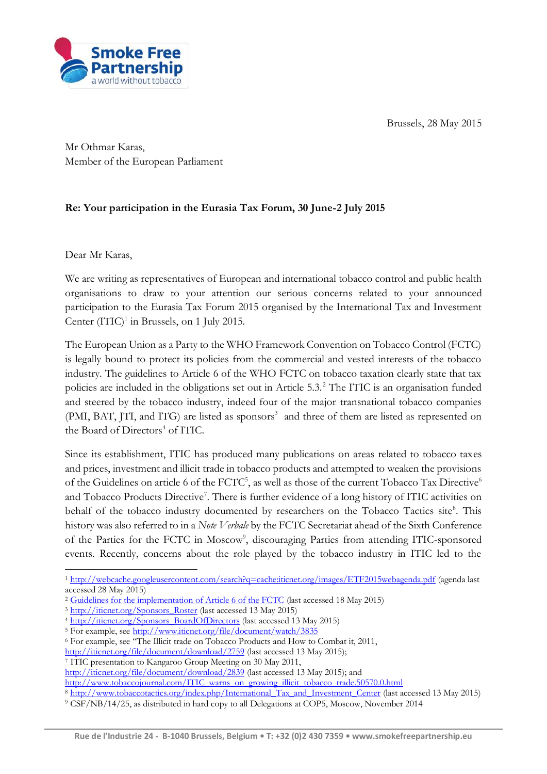Brussels, 28 May 2015



Mr Othmar Karas, Member of the European Parliament

## **Re: Your participation in the Eurasia Tax Forum, 30 June-2 July 2015**

Dear Mr Karas,

1

We are writing as representatives of European and international tobacco control and public health organisations to draw to your attention our serious concerns related to your announced participation to the Eurasia Tax Forum 2015 organised by the International Tax and Investment Center  $(TTC)^1$  in Brussels, on 1 July 2015.

The European Union as a Party to the WHO Framework Convention on Tobacco Control (FCTC) is legally bound to protect its policies from the commercial and vested interests of the tobacco industry. The guidelines to Article 6 of the WHO FCTC on tobacco taxation clearly state that tax policies are included in the obligations set out in Article 5.3.<sup>2</sup> The ITIC is an organisation funded and steered by the tobacco industry, indeed four of the major transnational tobacco companies (PMI, BAT, JTI, and ITG) are listed as sponsors<sup>3</sup> and three of them are listed as represented on the Board of Directors<sup>4</sup> of ITIC.

Since its establishment, ITIC has produced many publications on areas related to tobacco taxes and prices, investment and illicit trade in tobacco products and attempted to weaken the provisions of the Guidelines on article 6 of the FCTC<sup>5</sup>, as well as those of the current Tobacco Tax Directive<sup>6</sup> and Tobacco Products Directive<sup>7</sup>. There is further evidence of a long history of ITIC activities on behalf of the tobacco industry documented by researchers on the Tobacco Tactics site<sup>8</sup>. This history was also referred to in a *Note Verbale* by the FCTC Secretariat ahead of the Sixth Conference of the Parties for the FCTC in Moscow<sup>9</sup>, discouraging Parties from attending ITIC-sponsored events. Recently, concerns about the role played by the tobacco industry in ITIC led to the

[http://www.tobaccojournal.com/ITIC\\_warns\\_on\\_growing\\_illicit\\_tobacco\\_trade.50570.0.html](http://www.tobaccojournal.com/ITIC_warns_on_growing_illicit_tobacco_trade.50570.0.html)

<sup>1</sup> <http://webcache.googleusercontent.com/search?q=cache:iticnet.org/images/ETF2015webagenda.pdf> (agenda last accessed 28 May 2015)

<sup>&</sup>lt;sup>2</sup> [Guidelines for the implementation of Article 6 of the FCTC](http://www.who.int/fctc/guidelines/adopted/Guidelines_article_6.pdf?ua=1) (last accessed 18 May 2015)

<sup>&</sup>lt;sup>3</sup> [http://iticnet.org/Sponsors\\_Roster](http://iticnet.org/Sponsors_Roster) (last accessed 13 May 2015)

<sup>4</sup> [http://iticnet.org/Sponsors\\_BoardOfDirectors](http://iticnet.org/Sponsors_BoardOfDirectors) (last accessed 13 May 2015)

<sup>5</sup> For example, see<http://www.iticnet.org/file/document/watch/3835>

<sup>&</sup>lt;sup>6</sup> For example, see <sup>"The Illicit trade on Tobacco Products and How to Combat it, 2011,</sup>

<http://iticnet.org/file/document/download/2759> (last accessed 13 May 2015);

<sup>7</sup> ITIC presentation to Kangaroo Group Meeting on 30 May 2011,

<http://iticnet.org/file/document/download/2839> (last accessed 13 May 2015); and

<sup>8</sup> [http://www.tobaccotactics.org/index.php/International\\_Tax\\_and\\_Investment\\_Center](http://www.tobaccotactics.org/index.php/International_Tax_and_Investment_Center) (last accessed 13 May 2015)

<sup>9</sup> CSF/NB/14/25, as distributed in hard copy to all Delegations at COP5, Moscow, November 2014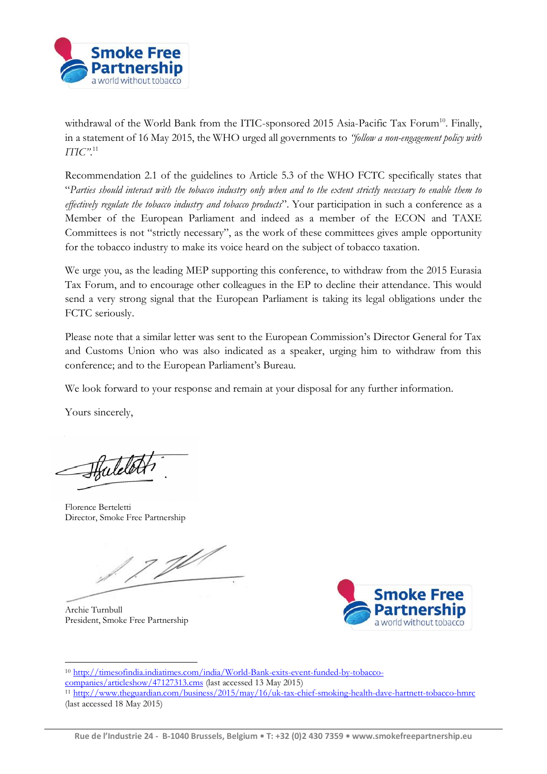

withdrawal of the World Bank from the ITIC-sponsored 2015 Asia-Pacific Tax Forum<sup>10</sup>. Finally, in a statement of 16 May 2015, the WHO urged all governments to *"follow a non-engagement policy with ITIC"*. 11

Recommendation 2.1 of the guidelines to Article 5.3 of the WHO FCTC specifically states that "*Parties should interact with the tobacco industry only when and to the extent strictly necessary to enable them to effectively regulate the tobacco industry and tobacco products*". Your participation in such a conference as a Member of the European Parliament and indeed as a member of the ECON and TAXE Committees is not "strictly necessary", as the work of these committees gives ample opportunity for the tobacco industry to make its voice heard on the subject of tobacco taxation.

We urge you, as the leading MEP supporting this conference, to withdraw from the 2015 Eurasia Tax Forum, and to encourage other colleagues in the EP to decline their attendance. This would send a very strong signal that the European Parliament is taking its legal obligations under the FCTC seriously.

Please note that a similar letter was sent to the European Commission's Director General for Tax and Customs Union who was also indicated as a speaker, urging him to withdraw from this conference; and to the European Parliament's Bureau.

We look forward to your response and remain at your disposal for any further information.

Yours sincerely,

Hatelot

Florence Berteletti Director, Smoke Free Partnership

J

Archie Turnbull President, Smoke Free Partnership



1 <sup>10</sup> [http://timesofindia.indiatimes.com/india/World-Bank-exits-event-funded-by-tobacco](http://timesofindia.indiatimes.com/india/World-Bank-exits-event-funded-by-tobacco-companies/articleshow/47127313.cms)[companies/articleshow/47127313.cms](http://timesofindia.indiatimes.com/india/World-Bank-exits-event-funded-by-tobacco-companies/articleshow/47127313.cms) (last accessed 13 May 2015) <sup>11</sup> <http://www.theguardian.com/business/2015/may/16/uk-tax-chief-smoking-health-dave-hartnett-tobacco-hmrc> (last accessed 18 May 2015)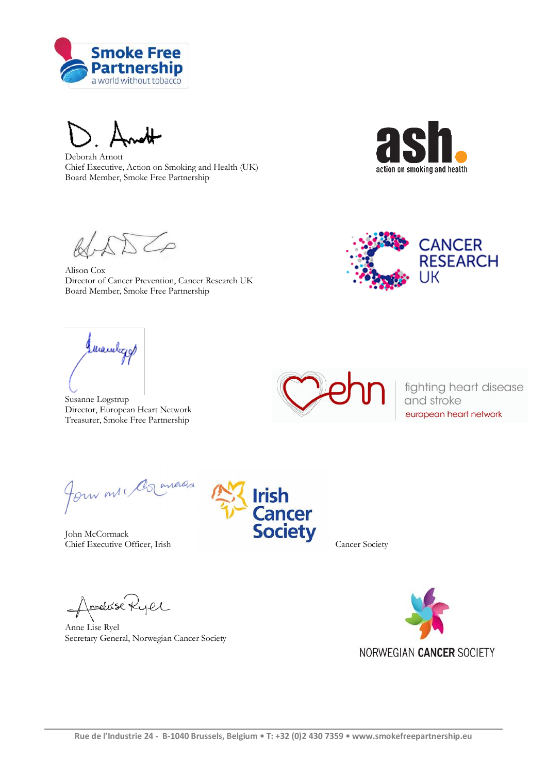

Deborah Arnott Chief Executive, Action on Smoking and Health (UK) Board Member, Smoke Free Partnership



 $\overline{\phantom{a}}$ 

Alison Cox Director of Cancer Prevention, Cancer Research UK Board Member, Smoke Free Partnership



(Mandagy)

Susanne Løgstrup Director, European Heart Network Treasurer, Smoke Free Partnership



fighting heart disease and stroke european heart network

Jour mr. Comercia

John McCormack Chief Executive Officer, Irish Cancer Society

Amelisé Ryel

Anne Lise Ryel Secretary General, Norwegian Cancer Society



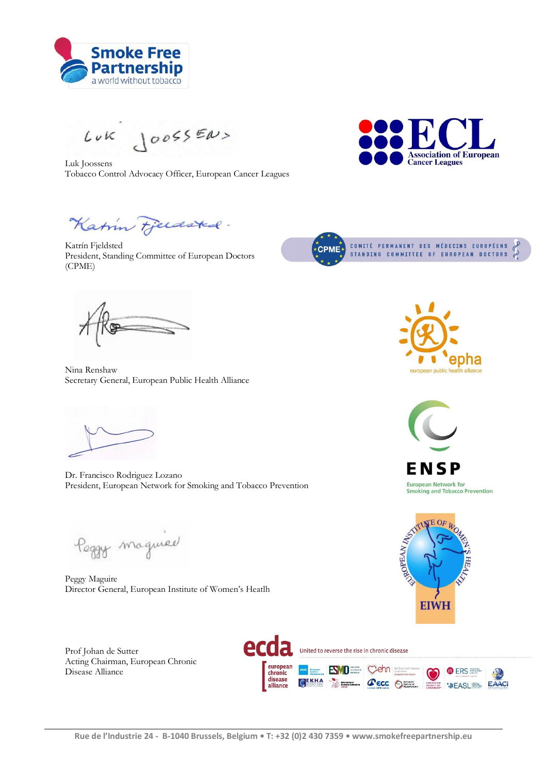

 $L\nu K \bigcup \{o\ o\} \in \mathbb{R} \cup S$ 

Luk Joossens Tobacco Control Advocacy Officer, European Cancer Leagues



Katin Fjerdsted.

Katrín Fjeldsted President, Standing Committee of European Doctors (CPME)



Nina Renshaw Secretary General, European Public Health Alliance



Dr. Francisco Rodriguez Lozano President, European Network for Smoking and Tobacco Prevention

Peggy magnier

Peggy Maguire Director General, European Institute of Women's Heatlh

Prof Johan de Sutter Acting Chairman, European Chronic Disease Alliance







ENSP **European Network for<br>Smoking and Tobacco Prevention** 

 $F \Omega$ 

**EIWH** 

ROPEAN NOS

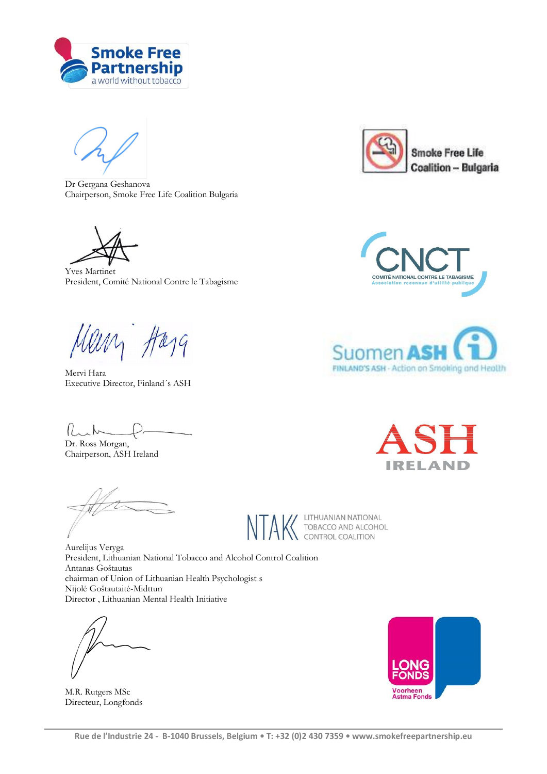

Dr Gergana Geshanova Chairperson, Smoke Free Life Coalition Bulgaria

Yves Martinet President, Comité National Contre le Tabagisme

Mein Harg

Mervi Hara Executive Director, Finland´s ASH

Ruh

Dr. Ross Morgan, Chairperson, ASH Ireland

LITHUANIAN NATIONAL TOBACCO AND ALCOHOL<br>CONTROL COALITION

Aurelijus Veryga President, Lithuanian National Tobacco and Alcohol Control Coalition Antanas Goštautas chairman of Union of Lithuanian Health Psychologist s Nijolė Goštautaitė-Midttun Director , Lithuanian Mental Health Initiative

M.R. Rutgers MSc Directeur, Longfonds